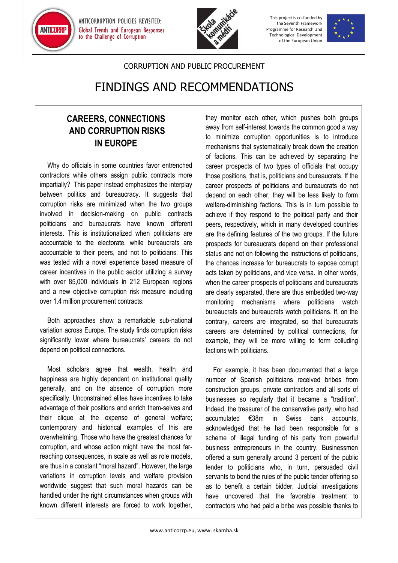

ANTICORRUPTION POLICIES REVISITED: **Global Trends and European Responses** to the Challenge of Corruption



This project is co-funded by the Seventh Framework Programme for Research and Technological Development of the European Union



## CORRUPTION AND PUBLIC PROCUREMENT

## FINDINGS AND RECOMMENDATIONS

## **CAREERS, CONNECTIONS AND CORRUPTION RISKS IN EUROPE**

Why do officials in some countries favor entrenched contractors while others assign public contracts more impartially? This paper instead emphasizes the interplay between politics and bureaucracy. It suggests that corruption risks are minimized when the two groups involved in decision-making on public contracts politicians and bureaucrats have known different interests. This is institutionalized when politicians are accountable to the electorate, while bureaucrats are accountable to their peers, and not to politicians. This was tested with a novel experience based measure of career incentives in the public sector utilizing a survey with over 85,000 individuals in 212 European regions and a new objective corruption risk measure including over 1.4 million procurement contracts.

Both approaches show a remarkable sub-national variation across Europe. The study finds corruption risks significantly lower where bureaucrats' careers do not depend on political connections.

Most scholars agree that wealth, health and happiness are highly dependent on institutional quality generally, and on the absence of corruption more specifically. Unconstrained elites have incentives to take advantage of their positions and enrich them-selves and their clique at the expense of general welfare; contemporary and historical examples of this are overwhelming. Those who have the greatest chances for corruption, and whose action might have the most farreaching consequences, in scale as well as role models, are thus in a constant "moral hazard". However, the large variations in corruption levels and welfare provision worldwide suggest that such moral hazards can be handled under the right circumstances when groups with known different interests are forced to work together,

they monitor each other, which pushes both groups away from self-interest towards the common good a way to minimize corruption opportunities is to introduce mechanisms that systematically break down the creation of factions. This can be achieved by separating the career prospects of two types of officials that occupy those positions, that is, politicians and bureaucrats. If the career prospects of politicians and bureaucrats do not depend on each other, they will be less likely to form welfare-diminishing factions. This is in turn possible to achieve if they respond to the political party and their peers, respectively, which in many developed countries are the defining features of the two groups. If the future prospects for bureaucrats depend on their professional status and not on following the instructions of politicians, the chances increase for bureaucrats to expose corrupt acts taken by politicians, and vice versa. In other words, when the career prospects of politicians and bureaucrats are clearly separated, there are thus embedded two-way monitoring mechanisms where politicians watch bureaucrats and bureaucrats watch politicians. If, on the contrary, careers are integrated, so that bureaucrats careers are determined by political connections, for example, they will be more willing to form colluding factions with politicians.

For example, it has been documented that a large number of Spanish politicians received bribes from construction groups, private contractors and all sorts of businesses so regularly that it became a "tradition". Indeed, the treasurer of the conservative party, who had accumulated €38m in Swiss bank accounts, acknowledged that he had been responsible for a scheme of illegal funding of his party from powerful business entrepreneurs in the country. Businessmen offered a sum generally around 3 percent of the public tender to politicians who, in turn, persuaded civil servants to bend the rules of the public tender offering so as to benefit a certain bidder. Judicial investigations have uncovered that the favorable treatment to contractors who had paid a bribe was possible thanks to